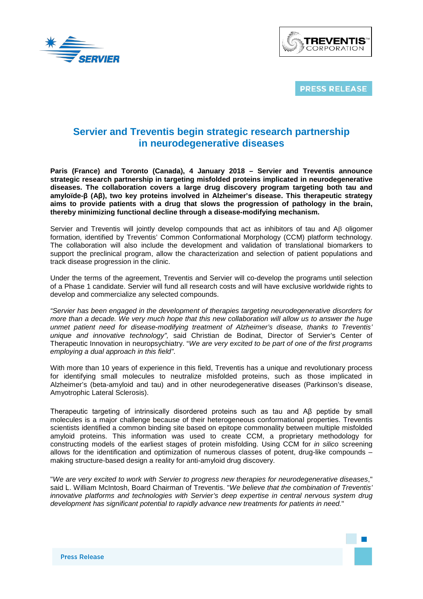



**PRESS RELEASE** 

# **Servier and Treventis begin strategic research partnership in neurodegenerative diseases**

**Paris (France) and Toronto (Canada), 4 January 2018 – Servier and Treventis announce strategic research partnership in targeting misfolded proteins implicated in neurodegenerative diseases. The collaboration covers a large drug discovery program targeting both tau and amyloïde-β (Aβ), two key proteins involved in Alzheimer's disease. This therapeutic strategy aims to provide patients with a drug that slows the progression of pathology in the brain, thereby minimizing functional decline through a disease-modifying mechanism.** 

Servier and Treventis will jointly develop compounds that act as inhibitors of tau and Aβ oligomer formation, identified by Treventis' Common Conformational Morphology (CCM) platform technology. The collaboration will also include the development and validation of translational biomarkers to support the preclinical program, allow the characterization and selection of patient populations and track disease progression in the clinic.

Under the terms of the agreement, Treventis and Servier will co-develop the programs until selection of a Phase 1 candidate. Servier will fund all research costs and will have exclusive worldwide rights to develop and commercialize any selected compounds.

*"Servier has been engaged in the development of therapies targeting neurodegenerative disorders for more than a decade. We very much hope that this new collaboration will allow us to answer the huge unmet patient need for disease-modifying treatment of Alzheimer's disease, thanks to Treventis' unique and innovative technology",* said Christian de Bodinat, Director of Servier's Center of Therapeutic Innovation in neuropsychiatry. "*We are very excited to be part of one of the first programs employing a dual approach in this field"*.

With more than 10 years of experience in this field, Treventis has a unique and revolutionary process for identifying small molecules to neutralize misfolded proteins, such as those implicated in Alzheimer's (beta-amyloid and tau) and in other neurodegenerative diseases (Parkinson's disease, Amyotrophic Lateral Sclerosis).

Therapeutic targeting of intrinsically disordered proteins such as tau and Aβ peptide by small molecules is a major challenge because of their heterogeneous conformational properties. Treventis scientists identified a common binding site based on epitope commonality between multiple misfolded amyloid proteins. This information was used to create CCM, a proprietary methodology for constructing models of the earliest stages of protein misfolding. Using CCM for *in silico* screening allows for the identification and optimization of numerous classes of potent, drug-like compounds – making structure-based design a reality for anti-amyloid drug discovery.

"*We are very excited to work with Servier to progress new therapies for neurodegenerative diseases*," said L. William McIntosh, Board Chairman of Treventis. "*We believe that the combination of Treventis' innovative platforms and technologies with Servier's deep expertise in central nervous system drug development has significant potential to rapidly advance new treatments for patients in need.*"